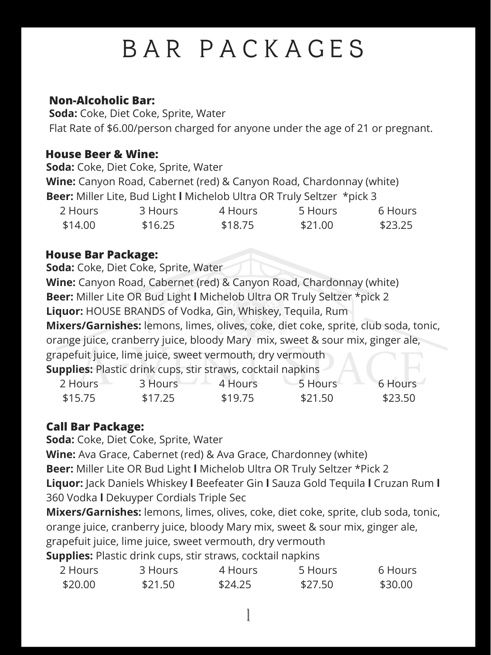# B A R P A C K A G E S

## **Non-Alcoholic Bar:**

**Soda:** Coke, Diet Coke, Sprite, Water Flat Rate of \$6.00/person charged for anyone under the age of 21 or pregnant.

#### **House Beer & Wine:**

**Soda:** Coke, Diet Coke, Sprite, Water

**Wine:** Canyon Road, Cabernet (red) & Canyon Road, Chardonnay (white) **Beer:** Miller Lite, Bud Light **l** Michelob Ultra OR Truly Seltzer \*pick 3

| 2 Hours | 3 Hours | 4 Hours | 5 Hours | 6 Hours |
|---------|---------|---------|---------|---------|
| \$14.00 | \$16.25 | \$18.75 | \$21.00 | \$23.25 |

**Soda:** Coke, Diet Coke, Sprite, Water

**Wine:** Canyon Road, Cabernet (red) & Canyon Road, Chardonnay (white) **Beer:** Miller Lite OR Bud Light **l** Michelob Ultra OR Truly Seltzer \*pick 2 **Liquor:** HOUSE BRANDS of Vodka, Gin, Whiskey, Tequila, Rum **Mixers/Garnishes:** lemons, limes, olives, coke, diet coke, sprite, club soda, tonic, orange juice, cranberry juice, bloody Mary mix, sweet & sour mix, ginger ale, grapefuit juice, lime juice, sweet vermouth, dry vermouth **Supplies:** Plastic drink cups, stir straws, cocktail napkins

| 2 Hours | 3 Hours | 4 Hours | 5 Hours | 6 Hours |
|---------|---------|---------|---------|---------|
| \$15.75 | \$17.25 | \$19.75 | \$21.50 | \$23.50 |

### **House Bar Package:**

## **Call Bar Package:**

**Soda:** Coke, Diet Coke, Sprite, Water

**Wine:** Ava Grace, Cabernet (red) & Ava Grace, Chardonney (white)

**Beer:** Miller Lite OR Bud Light **l** Michelob Ultra OR Truly Seltzer \*Pick 2

**Liquor:** Jack Daniels Whiskey **l** Beefeater Gin **l** Sauza Gold Tequila **l** Cruzan Rum **l** 360 Vodka **l** Dekuyper Cordials Triple Sec

**Mixers/Garnishes:** lemons, limes, olives, coke, diet coke, sprite, club soda, tonic, orange juice, cranberry juice, bloody Mary mix, sweet & sour mix, ginger ale, grapefuit juice, lime juice, sweet vermouth, dry vermouth

**Supplies:** Plastic drink cups, stir straws, cocktail napkins

| 2 Hours | 3 Hours | 4 Hours | 5 Hours | 6 Hours |
|---------|---------|---------|---------|---------|
| \$20.00 | \$21.50 | \$24.25 | \$27.50 | \$30.00 |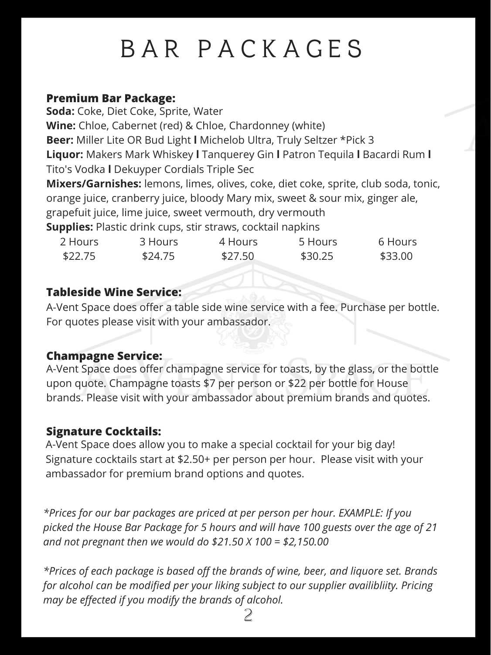# B A R P A C K A G E S

#### **Premium Bar Package:**

**Soda:** Coke, Diet Coke, Sprite, Water **Wine:** Chloe, Cabernet (red) & Chloe, Chardonney (white) **Beer:** Miller Lite OR Bud Light **l** Michelob Ultra, Truly Seltzer \*Pick 3 **Liquor:** Makers Mark Whiskey **l** Tanquerey Gin **l** Patron Tequila **l** Bacardi Rum **l** Tito's Vodka **l** Dekuyper Cordials Triple Sec **Mixers/Garnishes:** lemons, limes, olives, coke, diet coke, sprite, club soda, tonic, orange juice, cranberry juice, bloody Mary mix, sweet & sour mix, ginger ale, grapefuit juice, lime juice, sweet vermouth, dry vermouth **Supplies:** Plastic drink cups, stir straws, cocktail napkins

| 2 Hours | 3 Hours | 4 Hours | 5 Hours | 6 Hours |
|---------|---------|---------|---------|---------|
| \$22.75 | \$24.75 | \$27.50 | \$30.25 | \$33.00 |

#### **Tableside Wine Service:**

A-Vent Space does offer a table side wine service with a fee. Purchase per bottle. For quotes please visit with your ambassador.

#### **Champagne Service:**

A-Vent Space does offer champagne service for toasts, by the glass, or the bottle upon quote. Champagne toasts \$7 per person or \$22 per bottle for House brands. Please visit with your ambassador about premium brands and quotes.

## **Signature Cocktails:**

A-Vent Space does allow you to make a special cocktail for your big day! Signature cocktails start at \$2.50+ per person per hour. Please visit with your ambassador for premium brand options and quotes.

*\*Prices for our bar packages are priced at per person per hour. EXAMPLE: If you picked the House Bar Package for 5 hours and will have 100 guests over the age of 21 and not pregnant then we would do \$21.50 X 100 = \$2,150.00*

*\*Prices of each package is based off the brands of wine, beer, and liquore set. Brands for alcohol can be modified per your liking subject to our supplier availibliity. Pricing may be effected if you modify the brands of alcohol.*